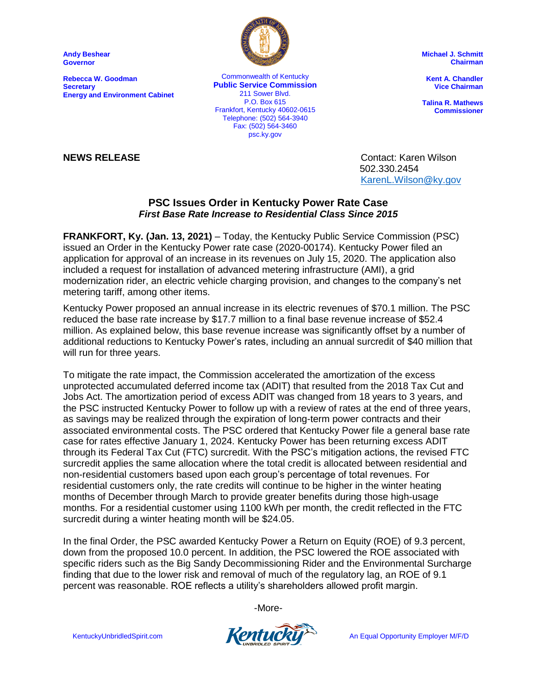**Andy Beshear Governor**

**Rebecca W. Goodman Secretary Energy and Environment Cabinet**



Commonwealth of Kentucky **Public Service Commission** 211 Sower Blvd. P.O. Box 615 Frankfort, Kentucky 40602-0615 Telephone: (502) 564-3940 Fax: (502) 564-3460 psc.ky.gov

**Michael J. Schmitt Chairman**

**Kent A. Chandler Vice Chairman**

**Talina R. Mathews Commissioner**

**NEWS RELEASE** Contact: Karen Wilson 502.330.2454 [KarenL.Wilson@ky.gov](mailto:KarenL.Wilson@ky.gov)

## **PSC Issues Order in Kentucky Power Rate Case** *First Base Rate Increase to Residential Class Since 2015*

**FRANKFORT, Ky. (Jan. 13, 2021)** – Today, the Kentucky Public Service Commission (PSC) issued an Order in the Kentucky Power rate case (2020-00174). Kentucky Power filed an application for approval of an increase in its revenues on July 15, 2020. The application also included a request for installation of advanced metering infrastructure (AMI), a grid modernization rider, an electric vehicle charging provision, and changes to the company's net metering tariff, among other items.

Kentucky Power proposed an annual increase in its electric revenues of \$70.1 million. The PSC reduced the base rate increase by \$17.7 million to a final base revenue increase of \$52.4 million. As explained below, this base revenue increase was significantly offset by a number of additional reductions to Kentucky Power's rates, including an annual surcredit of \$40 million that will run for three years.

To mitigate the rate impact, the Commission accelerated the amortization of the excess unprotected accumulated deferred income tax (ADIT) that resulted from the 2018 Tax Cut and Jobs Act. The amortization period of excess ADIT was changed from 18 years to 3 years, and the PSC instructed Kentucky Power to follow up with a review of rates at the end of three years, as savings may be realized through the expiration of long-term power contracts and their associated environmental costs. The PSC ordered that Kentucky Power file a general base rate case for rates effective January 1, 2024. Kentucky Power has been returning excess ADIT through its Federal Tax Cut (FTC) surcredit. With the PSC's mitigation actions, the revised FTC surcredit applies the same allocation where the total credit is allocated between residential and non-residential customers based upon each group's percentage of total revenues. For residential customers only, the rate credits will continue to be higher in the winter heating months of December through March to provide greater benefits during those high-usage months. For a residential customer using 1100 kWh per month, the credit reflected in the FTC surcredit during a winter heating month will be \$24.05.

In the final Order, the PSC awarded Kentucky Power a Return on Equity (ROE) of 9.3 percent, down from the proposed 10.0 percent. In addition, the PSC lowered the ROE associated with specific riders such as the Big Sandy Decommissioning Rider and the Environmental Surcharge finding that due to the lower risk and removal of much of the regulatory lag, an ROE of 9.1 percent was reasonable. ROE reflects a utility's shareholders allowed profit margin.

-More-

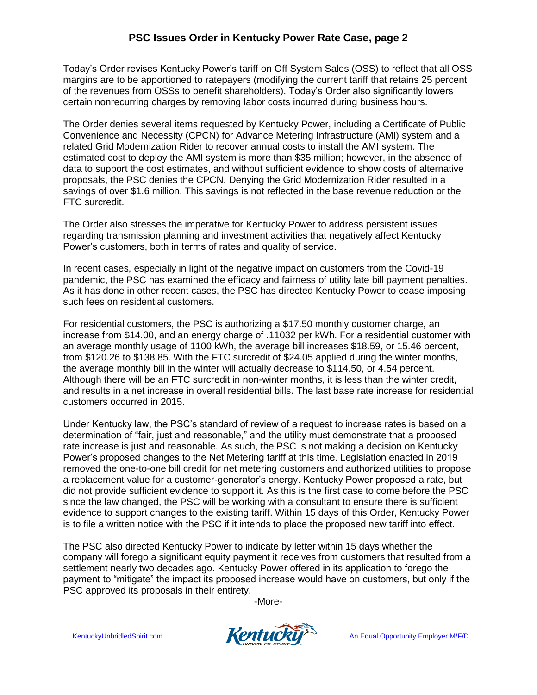## **PSC Issues Order in Kentucky Power Rate Case, page 2**

Today's Order revises Kentucky Power's tariff on Off System Sales (OSS) to reflect that all OSS margins are to be apportioned to ratepayers (modifying the current tariff that retains 25 percent of the revenues from OSSs to benefit shareholders). Today's Order also significantly lowers certain nonrecurring charges by removing labor costs incurred during business hours.

The Order denies several items requested by Kentucky Power, including a Certificate of Public Convenience and Necessity (CPCN) for Advance Metering Infrastructure (AMI) system and a related Grid Modernization Rider to recover annual costs to install the AMI system. The estimated cost to deploy the AMI system is more than \$35 million; however, in the absence of data to support the cost estimates, and without sufficient evidence to show costs of alternative proposals, the PSC denies the CPCN. Denying the Grid Modernization Rider resulted in a savings of over \$1.6 million. This savings is not reflected in the base revenue reduction or the FTC surcredit.

The Order also stresses the imperative for Kentucky Power to address persistent issues regarding transmission planning and investment activities that negatively affect Kentucky Power's customers, both in terms of rates and quality of service.

In recent cases, especially in light of the negative impact on customers from the Covid-19 pandemic, the PSC has examined the efficacy and fairness of utility late bill payment penalties. As it has done in other recent cases, the PSC has directed Kentucky Power to cease imposing such fees on residential customers.

For residential customers, the PSC is authorizing a \$17.50 monthly customer charge, an increase from \$14.00, and an energy charge of .11032 per kWh. For a residential customer with an average monthly usage of 1100 kWh, the average bill increases \$18.59, or 15.46 percent, from \$120.26 to \$138.85. With the FTC surcredit of \$24.05 applied during the winter months, the average monthly bill in the winter will actually decrease to \$114.50, or 4.54 percent. Although there will be an FTC surcredit in non-winter months, it is less than the winter credit, and results in a net increase in overall residential bills. The last base rate increase for residential customers occurred in 2015.

Under Kentucky law, the PSC's standard of review of a request to increase rates is based on a determination of "fair, just and reasonable," and the utility must demonstrate that a proposed rate increase is just and reasonable. As such, the PSC is not making a decision on Kentucky Power's proposed changes to the Net Metering tariff at this time. Legislation enacted in 2019 removed the one-to-one bill credit for net metering customers and authorized utilities to propose a replacement value for a customer-generator's energy. Kentucky Power proposed a rate, but did not provide sufficient evidence to support it. As this is the first case to come before the PSC since the law changed, the PSC will be working with a consultant to ensure there is sufficient evidence to support changes to the existing tariff. Within 15 days of this Order, Kentucky Power is to file a written notice with the PSC if it intends to place the proposed new tariff into effect.

The PSC also directed Kentucky Power to indicate by letter within 15 days whether the company will forego a significant equity payment it receives from customers that resulted from a settlement nearly two decades ago. Kentucky Power offered in its application to forego the payment to "mitigate" the impact its proposed increase would have on customers, but only if the PSC approved its proposals in their entirety.

-More-